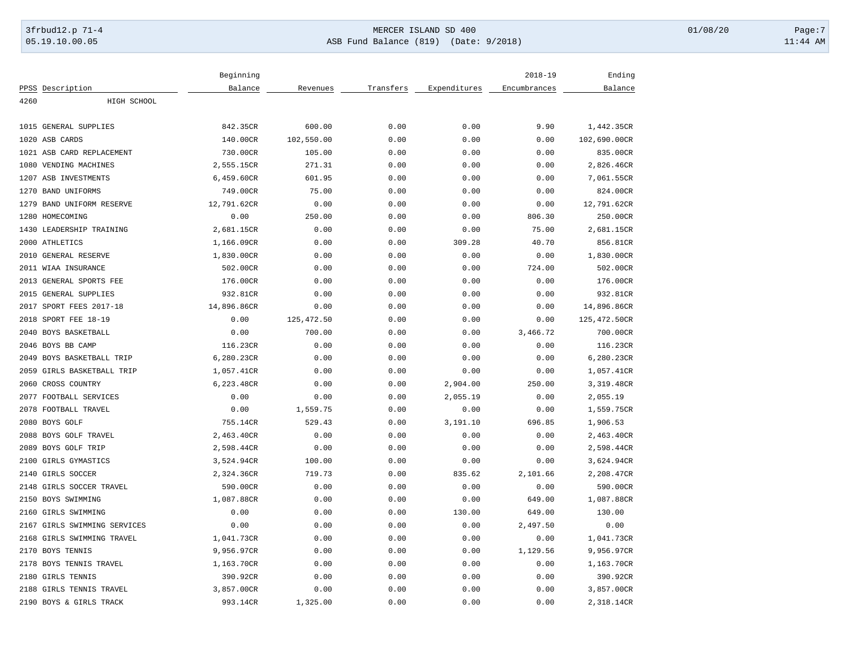## 3frbud12.p 71-4 **Details and the CER ISLAND SD 400** MERCER ISLAND SD 400 01/08/20 Page:7 05.19.10.00.05 ASB Fund Balance (819) (Date: 9/2018) 11:44 AM

|      |                              | Beginning   |              |           |              | $2018 - 19$      | Ending               |
|------|------------------------------|-------------|--------------|-----------|--------------|------------------|----------------------|
|      | PPSS Description             | Balance     | Revenues     | Transfers | Expenditures | Encumbrances     | Balance              |
| 4260 | HIGH SCHOOL                  |             |              |           |              |                  |                      |
|      |                              |             |              |           |              |                  |                      |
|      | 1015 GENERAL SUPPLIES        | 842.35CR    | 600.00       | 0.00      | 0.00         | 9.90             | 1,442.35CR           |
|      | 1020 ASB CARDS               | 140.00CR    | 102,550.00   | 0.00      | 0.00         | 0.00             | 102,690.00CR         |
|      | 1021 ASB CARD REPLACEMENT    | 730.00CR    | 105.00       | 0.00      | 0.00         | 0.00             | 835.00CR             |
| 1080 | VENDING MACHINES             | 2,555.15CR  | 271.31       | 0.00      | 0.00         | 0.00             | 2,826.46CR           |
|      | 1207 ASB INVESTMENTS         | 6,459.60CR  | 601.95       | 0.00      | 0.00         | 0.00             | 7,061.55CR           |
| 1270 | <b>BAND UNIFORMS</b>         | 749.00CR    | 75.00        | 0.00      | 0.00         | 0.00             | 824.00CR             |
| 1279 | BAND UNIFORM RESERVE         | 12,791.62CR | 0.00         | 0.00      | 0.00         | 0.00             | 12,791.62CR          |
|      | 1280 HOMECOMING              | 0.00        | 250.00       | 0.00      | 0.00         | 806.30           | 250.00CR             |
|      | 1430 LEADERSHIP TRAINING     | 2,681.15CR  | 0.00         | 0.00      | 0.00         | 75.00            | 2,681.15CR           |
|      | 2000 ATHLETICS               | 1,166.09CR  | 0.00         | 0.00      | 309.28       | 40.70            | 856.81CR             |
| 2010 | GENERAL RESERVE              | 1,830.00CR  | 0.00         | 0.00      | 0.00         | 0.00             | 1,830.00CR           |
| 2011 | WIAA INSURANCE               | 502.00CR    | 0.00         | 0.00      | 0.00         | 724.00           | 502.00CR             |
|      | 2013 GENERAL SPORTS FEE      | 176.00CR    | 0.00         | 0.00      | 0.00         | 0.00             | 176.00CR             |
| 2015 | <b>GENERAL SUPPLIES</b>      | 932.81CR    | 0.00         | 0.00      | 0.00         | 0.00             | 932.81CR             |
|      | 2017 SPORT FEES 2017-18      | 14,896.86CR | 0.00         | 0.00      | 0.00         | 0.00             | 14,896.86CR          |
| 2018 | SPORT FEE 18-19              | 0.00        | 125, 472.50  | 0.00      | 0.00         | 0.00             | 125,472.50CR         |
| 2040 | BOYS BASKETBALL              | 0.00        | 700.00       | 0.00      | 0.00         | 3,466.72         | 700.00CR             |
|      | 2046 BOYS BB CAMP            | 116.23CR    | 0.00         | 0.00      | 0.00         | 0.00             | 116.23CR             |
|      | 2049 BOYS BASKETBALL TRIP    | 6,280.23CR  | 0.00         | 0.00      | 0.00         | 0.00             | 6,280.23CR           |
|      | 2059 GIRLS BASKETBALL TRIP   | 1,057.41CR  | 0.00         | 0.00      | 0.00         | 0.00             | 1,057.41CR           |
| 2060 | CROSS COUNTRY                | 6,223.48CR  | 0.00         | 0.00      | 2,904.00     | 250.00           | 3,319.48CR           |
| 2077 | FOOTBALL SERVICES            | 0.00        | 0.00         | 0.00      | 2,055.19     | 0.00             | 2,055.19             |
| 2078 | FOOTBALL TRAVEL              | 0.00        | 1,559.75     | 0.00      | 0.00         | 0.00             | 1,559.75CR           |
|      | 2080 BOYS GOLF               | 755.14CR    | 529.43       | 0.00      | 3,191.10     | 696.85           | 1,906.53             |
|      | 2088 BOYS GOLF TRAVEL        | 2,463.40CR  | 0.00         | 0.00      | 0.00         | 0.00             | 2,463.40CR           |
|      | 2089 BOYS GOLF TRIP          | 2,598.44CR  | 0.00         | 0.00      | 0.00         | 0.00             | 2,598.44CR           |
|      | 2100 GIRLS GYMASTICS         | 3,524.94CR  | 100.00       | 0.00      | 0.00         | 0.00             | 3,624.94CR           |
| 2140 | GIRLS SOCCER                 | 2,324.36CR  | 719.73       | 0.00      | 835.62       | 2,101.66         | 2,208.47CR           |
| 2148 | GIRLS SOCCER TRAVEL          | 590.00CR    | 0.00         | 0.00      | 0.00         | 0.00             | 590.00CR             |
| 2150 | BOYS SWIMMING                |             |              |           |              |                  |                      |
| 2160 | GIRLS SWIMMING               | 1,087.88CR  | 0.00<br>0.00 | 0.00      | 0.00         | 649.00<br>649.00 | 1,087.88CR<br>130.00 |
|      |                              | 0.00        |              | 0.00      | 130.00       |                  |                      |
|      | 2167 GIRLS SWIMMING SERVICES | 0.00        | 0.00         | 0.00      | 0.00         | 2,497.50         | 0.00                 |
| 2168 | GIRLS SWIMMING TRAVEL        | 1,041.73CR  | 0.00         | 0.00      | 0.00         | 0.00             | 1,041.73CR           |
| 2170 | BOYS TENNIS                  | 9,956.97CR  | 0.00         | 0.00      | 0.00         | 1,129.56         | 9,956.97CR           |
| 2178 | BOYS TENNIS TRAVEL           | 1,163.70CR  | 0.00         | 0.00      | 0.00         | 0.00             | 1,163.70CR           |
|      | 2180 GIRLS TENNIS            | 390.92CR    | 0.00         | 0.00      | 0.00         | 0.00             | 390.92CR             |
|      | 2188 GIRLS TENNIS TRAVEL     | 3,857.00CR  | 0.00         | 0.00      | 0.00         | 0.00             | 3,857.00CR           |
|      | 2190 BOYS & GIRLS TRACK      | 993.14CR    | 1,325.00     | 0.00      | 0.00         | 0.00             | 2,318.14CR           |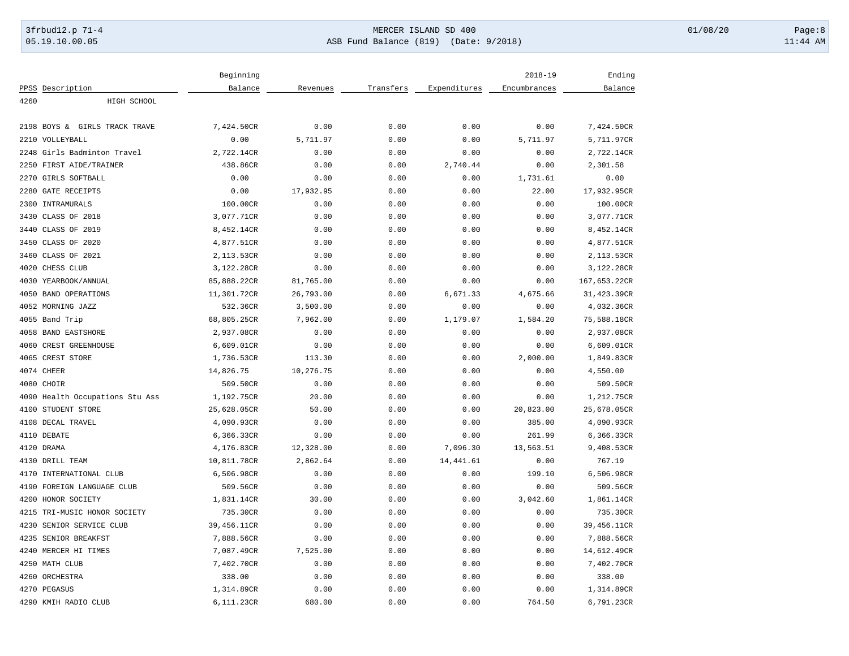## 3frbud12.p 71-4 **Details and the CER ISLAND SD 400** MERCER ISLAND SD 400 01/08/20 Page:8 05.19.10.00.05 ASB Fund Balance (819) (Date: 9/2018) 11:44 AM

| PPSS Description<br>Balance<br>Transfers<br>Expenditures<br>Encumbrances<br>Balance<br>Revenues<br>4260<br>HIGH SCHOOL<br>0.00<br>2198 BOYS & GIRLS TRACK TRAVE<br>7,424.50CR<br>0.00<br>0.00<br>0.00<br>7,424.50CR<br>2210<br>0.00<br>VOLLEYBALL<br>5,711.97<br>0.00<br>0.00<br>5,711.97<br>5,711.97CR<br>0.00<br>0.00<br>0.00<br>2,722.14CR<br>2248<br>Girls Badminton Travel<br>2,722.14CR<br>0.00<br>2250<br>FIRST AIDE/TRAINER<br>438.86CR<br>0.00<br>0.00<br>2,740.44<br>0.00<br>2,301.58<br>GIRLS SOFTBALL<br>0.00<br>0.00<br>0.00<br>1,731.61<br>0.00<br>2270<br>0.00<br>2280<br><b>GATE RECEIPTS</b><br>0.00<br>17,932.95<br>0.00<br>0.00<br>22.00<br>17,932.95CR<br>INTRAMURALS<br>100.00CR<br>0.00<br>0.00<br>100.00CR<br>2300<br>0.00<br>0.00<br>CLASS OF 2018<br>0.00<br>0.00<br>0.00<br>3,077.71CR<br>3430<br>3,077.71CR<br>0.00<br>CLASS OF 2019<br>0.00<br>0.00<br>0.00<br>0.00<br>8,452.14CR<br>3440<br>8,452.14CR<br>3450<br>CLASS OF 2020<br>4,877.51CR<br>0.00<br>0.00<br>0.00<br>0.00<br>4,877.51CR<br>CLASS OF 2021<br>0.00<br>0.00<br>3460<br>2,113.53CR<br>0.00<br>0.00<br>2,113.53CR<br>4020<br>CHESS CLUB<br>3,122.28CR<br>0.00<br>0.00<br>0.00<br>0.00<br>3,122.28CR<br>81,765.00<br>4030<br>YEARBOOK/ANNUAL<br>85,888.22CR<br>0.00<br>0.00<br>0.00<br>167,653.22CR<br><b>BAND OPERATIONS</b><br>26,793.00<br>0.00<br>6,671.33<br>4,675.66<br>4050<br>11,301.72CR<br>31,423.39CR<br>4052 MORNING JAZZ<br>3,500.00<br>0.00<br>0.00<br>4,032.36CR<br>532.36CR<br>0.00<br>68,805.25CR<br>4055<br>Band Trip<br>7,962.00<br>0.00<br>1,179.07<br>1,584.20<br>75,588.18CR<br><b>BAND EASTSHORE</b><br>2,937.08CR<br>0.00<br>0.00<br>0.00<br>2,937.08CR<br>4058<br>0.00<br>4060<br>CREST GREENHOUSE<br>6,609.01CR<br>0.00<br>0.00<br>0.00<br>0.00<br>6,609.01CR<br>CREST STORE<br>0.00<br>4065<br>1,736.53CR<br>113.30<br>0.00<br>2,000.00<br>1,849.83CR<br>4074 CHEER<br>14,826.75<br>10,276.75<br>0.00<br>0.00<br>4,550.00<br>0.00<br>CHOIR<br>509.50CR<br>509.50CR<br>4080<br>0.00<br>0.00<br>0.00<br>0.00<br>4090<br>Health Occupations Stu Ass<br>1,192.75CR<br>20.00<br>0.00<br>0.00<br>0.00<br>1,212.75CR<br>4100<br>STUDENT STORE<br>25,628.05CR<br>50.00<br>0.00<br>0.00<br>20,823.00<br>25,678.05CR<br>4108 DECAL TRAVEL<br>4,090.93CR<br>0.00<br>0.00<br>0.00<br>385.00<br>4,090.93CR<br>0.00<br>0.00<br>4110 DEBATE<br>6,366.33CR<br>0.00<br>261.99<br>6,366.33CR<br>4120 DRAMA<br>12,328.00<br>0.00<br>7,096.30<br>9,408.53CR<br>4,176.83CR<br>13,563.51<br>DRILL TEAM<br>10,811.78CR<br>2,862.64<br>0.00<br>14, 441.61<br>0.00<br>767.19<br>4130<br>6,506.98CR<br>4170<br>INTERNATIONAL CLUB<br>6,506.98CR<br>0.00<br>0.00<br>0.00<br>199.10<br>FOREIGN LANGUAGE CLUB<br>509.56CR<br>0.00<br>0.00<br>0.00<br>0.00<br>509.56CR<br>4190<br>3,042.60<br>4200<br>HONOR SOCIETY<br>1,831.14CR<br>30.00<br>0.00<br>0.00<br>1,861.14CR<br>735.30CR<br>735.30CR<br>4215<br>TRI-MUSIC HONOR SOCIETY<br>0.00<br>0.00<br>0.00<br>0.00<br>4230<br>SENIOR SERVICE CLUB<br>39,456.11CR<br>0.00<br>0.00<br>0.00<br>0.00<br>39,456.11CR<br>4235<br>SENIOR BREAKFST<br>7,888.56CR<br>0.00<br>0.00<br>0.00<br>0.00<br>7,888.56CR<br>4240<br>MERCER HI TIMES<br>7,087.49CR<br>7,525.00<br>0.00<br>0.00<br>0.00<br>14,612.49CR<br>4250<br>MATH CLUB<br>7,402.70CR<br>0.00<br>0.00<br>0.00<br>0.00<br>7,402.70CR<br>338.00<br>338.00<br>4260 ORCHESTRA<br>0.00<br>0.00<br>0.00<br>0.00<br>4270 PEGASUS<br>1,314.89CR<br>0.00<br>0.00<br>0.00<br>1,314.89CR<br>0.00 | Beginning |  | $2018 - 19$ | Ending |
|--------------------------------------------------------------------------------------------------------------------------------------------------------------------------------------------------------------------------------------------------------------------------------------------------------------------------------------------------------------------------------------------------------------------------------------------------------------------------------------------------------------------------------------------------------------------------------------------------------------------------------------------------------------------------------------------------------------------------------------------------------------------------------------------------------------------------------------------------------------------------------------------------------------------------------------------------------------------------------------------------------------------------------------------------------------------------------------------------------------------------------------------------------------------------------------------------------------------------------------------------------------------------------------------------------------------------------------------------------------------------------------------------------------------------------------------------------------------------------------------------------------------------------------------------------------------------------------------------------------------------------------------------------------------------------------------------------------------------------------------------------------------------------------------------------------------------------------------------------------------------------------------------------------------------------------------------------------------------------------------------------------------------------------------------------------------------------------------------------------------------------------------------------------------------------------------------------------------------------------------------------------------------------------------------------------------------------------------------------------------------------------------------------------------------------------------------------------------------------------------------------------------------------------------------------------------------------------------------------------------------------------------------------------------------------------------------------------------------------------------------------------------------------------------------------------------------------------------------------------------------------------------------------------------------------------------------------------------------------------------------------------------------------------------------------------------------------------------------------------------------------------------------------------------------------------------------------------------------------------------------------------------------------------------------------------------------------------------------------------------------------------------------------------------------------------------------------------------------------|-----------|--|-------------|--------|
|                                                                                                                                                                                                                                                                                                                                                                                                                                                                                                                                                                                                                                                                                                                                                                                                                                                                                                                                                                                                                                                                                                                                                                                                                                                                                                                                                                                                                                                                                                                                                                                                                                                                                                                                                                                                                                                                                                                                                                                                                                                                                                                                                                                                                                                                                                                                                                                                                                                                                                                                                                                                                                                                                                                                                                                                                                                                                                                                                                                                                                                                                                                                                                                                                                                                                                                                                                                                                                                                                |           |  |             |        |
|                                                                                                                                                                                                                                                                                                                                                                                                                                                                                                                                                                                                                                                                                                                                                                                                                                                                                                                                                                                                                                                                                                                                                                                                                                                                                                                                                                                                                                                                                                                                                                                                                                                                                                                                                                                                                                                                                                                                                                                                                                                                                                                                                                                                                                                                                                                                                                                                                                                                                                                                                                                                                                                                                                                                                                                                                                                                                                                                                                                                                                                                                                                                                                                                                                                                                                                                                                                                                                                                                |           |  |             |        |
|                                                                                                                                                                                                                                                                                                                                                                                                                                                                                                                                                                                                                                                                                                                                                                                                                                                                                                                                                                                                                                                                                                                                                                                                                                                                                                                                                                                                                                                                                                                                                                                                                                                                                                                                                                                                                                                                                                                                                                                                                                                                                                                                                                                                                                                                                                                                                                                                                                                                                                                                                                                                                                                                                                                                                                                                                                                                                                                                                                                                                                                                                                                                                                                                                                                                                                                                                                                                                                                                                |           |  |             |        |
|                                                                                                                                                                                                                                                                                                                                                                                                                                                                                                                                                                                                                                                                                                                                                                                                                                                                                                                                                                                                                                                                                                                                                                                                                                                                                                                                                                                                                                                                                                                                                                                                                                                                                                                                                                                                                                                                                                                                                                                                                                                                                                                                                                                                                                                                                                                                                                                                                                                                                                                                                                                                                                                                                                                                                                                                                                                                                                                                                                                                                                                                                                                                                                                                                                                                                                                                                                                                                                                                                |           |  |             |        |
|                                                                                                                                                                                                                                                                                                                                                                                                                                                                                                                                                                                                                                                                                                                                                                                                                                                                                                                                                                                                                                                                                                                                                                                                                                                                                                                                                                                                                                                                                                                                                                                                                                                                                                                                                                                                                                                                                                                                                                                                                                                                                                                                                                                                                                                                                                                                                                                                                                                                                                                                                                                                                                                                                                                                                                                                                                                                                                                                                                                                                                                                                                                                                                                                                                                                                                                                                                                                                                                                                |           |  |             |        |
|                                                                                                                                                                                                                                                                                                                                                                                                                                                                                                                                                                                                                                                                                                                                                                                                                                                                                                                                                                                                                                                                                                                                                                                                                                                                                                                                                                                                                                                                                                                                                                                                                                                                                                                                                                                                                                                                                                                                                                                                                                                                                                                                                                                                                                                                                                                                                                                                                                                                                                                                                                                                                                                                                                                                                                                                                                                                                                                                                                                                                                                                                                                                                                                                                                                                                                                                                                                                                                                                                |           |  |             |        |
|                                                                                                                                                                                                                                                                                                                                                                                                                                                                                                                                                                                                                                                                                                                                                                                                                                                                                                                                                                                                                                                                                                                                                                                                                                                                                                                                                                                                                                                                                                                                                                                                                                                                                                                                                                                                                                                                                                                                                                                                                                                                                                                                                                                                                                                                                                                                                                                                                                                                                                                                                                                                                                                                                                                                                                                                                                                                                                                                                                                                                                                                                                                                                                                                                                                                                                                                                                                                                                                                                |           |  |             |        |
|                                                                                                                                                                                                                                                                                                                                                                                                                                                                                                                                                                                                                                                                                                                                                                                                                                                                                                                                                                                                                                                                                                                                                                                                                                                                                                                                                                                                                                                                                                                                                                                                                                                                                                                                                                                                                                                                                                                                                                                                                                                                                                                                                                                                                                                                                                                                                                                                                                                                                                                                                                                                                                                                                                                                                                                                                                                                                                                                                                                                                                                                                                                                                                                                                                                                                                                                                                                                                                                                                |           |  |             |        |
|                                                                                                                                                                                                                                                                                                                                                                                                                                                                                                                                                                                                                                                                                                                                                                                                                                                                                                                                                                                                                                                                                                                                                                                                                                                                                                                                                                                                                                                                                                                                                                                                                                                                                                                                                                                                                                                                                                                                                                                                                                                                                                                                                                                                                                                                                                                                                                                                                                                                                                                                                                                                                                                                                                                                                                                                                                                                                                                                                                                                                                                                                                                                                                                                                                                                                                                                                                                                                                                                                |           |  |             |        |
|                                                                                                                                                                                                                                                                                                                                                                                                                                                                                                                                                                                                                                                                                                                                                                                                                                                                                                                                                                                                                                                                                                                                                                                                                                                                                                                                                                                                                                                                                                                                                                                                                                                                                                                                                                                                                                                                                                                                                                                                                                                                                                                                                                                                                                                                                                                                                                                                                                                                                                                                                                                                                                                                                                                                                                                                                                                                                                                                                                                                                                                                                                                                                                                                                                                                                                                                                                                                                                                                                |           |  |             |        |
|                                                                                                                                                                                                                                                                                                                                                                                                                                                                                                                                                                                                                                                                                                                                                                                                                                                                                                                                                                                                                                                                                                                                                                                                                                                                                                                                                                                                                                                                                                                                                                                                                                                                                                                                                                                                                                                                                                                                                                                                                                                                                                                                                                                                                                                                                                                                                                                                                                                                                                                                                                                                                                                                                                                                                                                                                                                                                                                                                                                                                                                                                                                                                                                                                                                                                                                                                                                                                                                                                |           |  |             |        |
|                                                                                                                                                                                                                                                                                                                                                                                                                                                                                                                                                                                                                                                                                                                                                                                                                                                                                                                                                                                                                                                                                                                                                                                                                                                                                                                                                                                                                                                                                                                                                                                                                                                                                                                                                                                                                                                                                                                                                                                                                                                                                                                                                                                                                                                                                                                                                                                                                                                                                                                                                                                                                                                                                                                                                                                                                                                                                                                                                                                                                                                                                                                                                                                                                                                                                                                                                                                                                                                                                |           |  |             |        |
|                                                                                                                                                                                                                                                                                                                                                                                                                                                                                                                                                                                                                                                                                                                                                                                                                                                                                                                                                                                                                                                                                                                                                                                                                                                                                                                                                                                                                                                                                                                                                                                                                                                                                                                                                                                                                                                                                                                                                                                                                                                                                                                                                                                                                                                                                                                                                                                                                                                                                                                                                                                                                                                                                                                                                                                                                                                                                                                                                                                                                                                                                                                                                                                                                                                                                                                                                                                                                                                                                |           |  |             |        |
|                                                                                                                                                                                                                                                                                                                                                                                                                                                                                                                                                                                                                                                                                                                                                                                                                                                                                                                                                                                                                                                                                                                                                                                                                                                                                                                                                                                                                                                                                                                                                                                                                                                                                                                                                                                                                                                                                                                                                                                                                                                                                                                                                                                                                                                                                                                                                                                                                                                                                                                                                                                                                                                                                                                                                                                                                                                                                                                                                                                                                                                                                                                                                                                                                                                                                                                                                                                                                                                                                |           |  |             |        |
|                                                                                                                                                                                                                                                                                                                                                                                                                                                                                                                                                                                                                                                                                                                                                                                                                                                                                                                                                                                                                                                                                                                                                                                                                                                                                                                                                                                                                                                                                                                                                                                                                                                                                                                                                                                                                                                                                                                                                                                                                                                                                                                                                                                                                                                                                                                                                                                                                                                                                                                                                                                                                                                                                                                                                                                                                                                                                                                                                                                                                                                                                                                                                                                                                                                                                                                                                                                                                                                                                |           |  |             |        |
|                                                                                                                                                                                                                                                                                                                                                                                                                                                                                                                                                                                                                                                                                                                                                                                                                                                                                                                                                                                                                                                                                                                                                                                                                                                                                                                                                                                                                                                                                                                                                                                                                                                                                                                                                                                                                                                                                                                                                                                                                                                                                                                                                                                                                                                                                                                                                                                                                                                                                                                                                                                                                                                                                                                                                                                                                                                                                                                                                                                                                                                                                                                                                                                                                                                                                                                                                                                                                                                                                |           |  |             |        |
|                                                                                                                                                                                                                                                                                                                                                                                                                                                                                                                                                                                                                                                                                                                                                                                                                                                                                                                                                                                                                                                                                                                                                                                                                                                                                                                                                                                                                                                                                                                                                                                                                                                                                                                                                                                                                                                                                                                                                                                                                                                                                                                                                                                                                                                                                                                                                                                                                                                                                                                                                                                                                                                                                                                                                                                                                                                                                                                                                                                                                                                                                                                                                                                                                                                                                                                                                                                                                                                                                |           |  |             |        |
|                                                                                                                                                                                                                                                                                                                                                                                                                                                                                                                                                                                                                                                                                                                                                                                                                                                                                                                                                                                                                                                                                                                                                                                                                                                                                                                                                                                                                                                                                                                                                                                                                                                                                                                                                                                                                                                                                                                                                                                                                                                                                                                                                                                                                                                                                                                                                                                                                                                                                                                                                                                                                                                                                                                                                                                                                                                                                                                                                                                                                                                                                                                                                                                                                                                                                                                                                                                                                                                                                |           |  |             |        |
|                                                                                                                                                                                                                                                                                                                                                                                                                                                                                                                                                                                                                                                                                                                                                                                                                                                                                                                                                                                                                                                                                                                                                                                                                                                                                                                                                                                                                                                                                                                                                                                                                                                                                                                                                                                                                                                                                                                                                                                                                                                                                                                                                                                                                                                                                                                                                                                                                                                                                                                                                                                                                                                                                                                                                                                                                                                                                                                                                                                                                                                                                                                                                                                                                                                                                                                                                                                                                                                                                |           |  |             |        |
|                                                                                                                                                                                                                                                                                                                                                                                                                                                                                                                                                                                                                                                                                                                                                                                                                                                                                                                                                                                                                                                                                                                                                                                                                                                                                                                                                                                                                                                                                                                                                                                                                                                                                                                                                                                                                                                                                                                                                                                                                                                                                                                                                                                                                                                                                                                                                                                                                                                                                                                                                                                                                                                                                                                                                                                                                                                                                                                                                                                                                                                                                                                                                                                                                                                                                                                                                                                                                                                                                |           |  |             |        |
|                                                                                                                                                                                                                                                                                                                                                                                                                                                                                                                                                                                                                                                                                                                                                                                                                                                                                                                                                                                                                                                                                                                                                                                                                                                                                                                                                                                                                                                                                                                                                                                                                                                                                                                                                                                                                                                                                                                                                                                                                                                                                                                                                                                                                                                                                                                                                                                                                                                                                                                                                                                                                                                                                                                                                                                                                                                                                                                                                                                                                                                                                                                                                                                                                                                                                                                                                                                                                                                                                |           |  |             |        |
|                                                                                                                                                                                                                                                                                                                                                                                                                                                                                                                                                                                                                                                                                                                                                                                                                                                                                                                                                                                                                                                                                                                                                                                                                                                                                                                                                                                                                                                                                                                                                                                                                                                                                                                                                                                                                                                                                                                                                                                                                                                                                                                                                                                                                                                                                                                                                                                                                                                                                                                                                                                                                                                                                                                                                                                                                                                                                                                                                                                                                                                                                                                                                                                                                                                                                                                                                                                                                                                                                |           |  |             |        |
|                                                                                                                                                                                                                                                                                                                                                                                                                                                                                                                                                                                                                                                                                                                                                                                                                                                                                                                                                                                                                                                                                                                                                                                                                                                                                                                                                                                                                                                                                                                                                                                                                                                                                                                                                                                                                                                                                                                                                                                                                                                                                                                                                                                                                                                                                                                                                                                                                                                                                                                                                                                                                                                                                                                                                                                                                                                                                                                                                                                                                                                                                                                                                                                                                                                                                                                                                                                                                                                                                |           |  |             |        |
|                                                                                                                                                                                                                                                                                                                                                                                                                                                                                                                                                                                                                                                                                                                                                                                                                                                                                                                                                                                                                                                                                                                                                                                                                                                                                                                                                                                                                                                                                                                                                                                                                                                                                                                                                                                                                                                                                                                                                                                                                                                                                                                                                                                                                                                                                                                                                                                                                                                                                                                                                                                                                                                                                                                                                                                                                                                                                                                                                                                                                                                                                                                                                                                                                                                                                                                                                                                                                                                                                |           |  |             |        |
|                                                                                                                                                                                                                                                                                                                                                                                                                                                                                                                                                                                                                                                                                                                                                                                                                                                                                                                                                                                                                                                                                                                                                                                                                                                                                                                                                                                                                                                                                                                                                                                                                                                                                                                                                                                                                                                                                                                                                                                                                                                                                                                                                                                                                                                                                                                                                                                                                                                                                                                                                                                                                                                                                                                                                                                                                                                                                                                                                                                                                                                                                                                                                                                                                                                                                                                                                                                                                                                                                |           |  |             |        |
|                                                                                                                                                                                                                                                                                                                                                                                                                                                                                                                                                                                                                                                                                                                                                                                                                                                                                                                                                                                                                                                                                                                                                                                                                                                                                                                                                                                                                                                                                                                                                                                                                                                                                                                                                                                                                                                                                                                                                                                                                                                                                                                                                                                                                                                                                                                                                                                                                                                                                                                                                                                                                                                                                                                                                                                                                                                                                                                                                                                                                                                                                                                                                                                                                                                                                                                                                                                                                                                                                |           |  |             |        |
|                                                                                                                                                                                                                                                                                                                                                                                                                                                                                                                                                                                                                                                                                                                                                                                                                                                                                                                                                                                                                                                                                                                                                                                                                                                                                                                                                                                                                                                                                                                                                                                                                                                                                                                                                                                                                                                                                                                                                                                                                                                                                                                                                                                                                                                                                                                                                                                                                                                                                                                                                                                                                                                                                                                                                                                                                                                                                                                                                                                                                                                                                                                                                                                                                                                                                                                                                                                                                                                                                |           |  |             |        |
|                                                                                                                                                                                                                                                                                                                                                                                                                                                                                                                                                                                                                                                                                                                                                                                                                                                                                                                                                                                                                                                                                                                                                                                                                                                                                                                                                                                                                                                                                                                                                                                                                                                                                                                                                                                                                                                                                                                                                                                                                                                                                                                                                                                                                                                                                                                                                                                                                                                                                                                                                                                                                                                                                                                                                                                                                                                                                                                                                                                                                                                                                                                                                                                                                                                                                                                                                                                                                                                                                |           |  |             |        |
|                                                                                                                                                                                                                                                                                                                                                                                                                                                                                                                                                                                                                                                                                                                                                                                                                                                                                                                                                                                                                                                                                                                                                                                                                                                                                                                                                                                                                                                                                                                                                                                                                                                                                                                                                                                                                                                                                                                                                                                                                                                                                                                                                                                                                                                                                                                                                                                                                                                                                                                                                                                                                                                                                                                                                                                                                                                                                                                                                                                                                                                                                                                                                                                                                                                                                                                                                                                                                                                                                |           |  |             |        |
|                                                                                                                                                                                                                                                                                                                                                                                                                                                                                                                                                                                                                                                                                                                                                                                                                                                                                                                                                                                                                                                                                                                                                                                                                                                                                                                                                                                                                                                                                                                                                                                                                                                                                                                                                                                                                                                                                                                                                                                                                                                                                                                                                                                                                                                                                                                                                                                                                                                                                                                                                                                                                                                                                                                                                                                                                                                                                                                                                                                                                                                                                                                                                                                                                                                                                                                                                                                                                                                                                |           |  |             |        |
|                                                                                                                                                                                                                                                                                                                                                                                                                                                                                                                                                                                                                                                                                                                                                                                                                                                                                                                                                                                                                                                                                                                                                                                                                                                                                                                                                                                                                                                                                                                                                                                                                                                                                                                                                                                                                                                                                                                                                                                                                                                                                                                                                                                                                                                                                                                                                                                                                                                                                                                                                                                                                                                                                                                                                                                                                                                                                                                                                                                                                                                                                                                                                                                                                                                                                                                                                                                                                                                                                |           |  |             |        |
|                                                                                                                                                                                                                                                                                                                                                                                                                                                                                                                                                                                                                                                                                                                                                                                                                                                                                                                                                                                                                                                                                                                                                                                                                                                                                                                                                                                                                                                                                                                                                                                                                                                                                                                                                                                                                                                                                                                                                                                                                                                                                                                                                                                                                                                                                                                                                                                                                                                                                                                                                                                                                                                                                                                                                                                                                                                                                                                                                                                                                                                                                                                                                                                                                                                                                                                                                                                                                                                                                |           |  |             |        |
|                                                                                                                                                                                                                                                                                                                                                                                                                                                                                                                                                                                                                                                                                                                                                                                                                                                                                                                                                                                                                                                                                                                                                                                                                                                                                                                                                                                                                                                                                                                                                                                                                                                                                                                                                                                                                                                                                                                                                                                                                                                                                                                                                                                                                                                                                                                                                                                                                                                                                                                                                                                                                                                                                                                                                                                                                                                                                                                                                                                                                                                                                                                                                                                                                                                                                                                                                                                                                                                                                |           |  |             |        |
|                                                                                                                                                                                                                                                                                                                                                                                                                                                                                                                                                                                                                                                                                                                                                                                                                                                                                                                                                                                                                                                                                                                                                                                                                                                                                                                                                                                                                                                                                                                                                                                                                                                                                                                                                                                                                                                                                                                                                                                                                                                                                                                                                                                                                                                                                                                                                                                                                                                                                                                                                                                                                                                                                                                                                                                                                                                                                                                                                                                                                                                                                                                                                                                                                                                                                                                                                                                                                                                                                |           |  |             |        |
|                                                                                                                                                                                                                                                                                                                                                                                                                                                                                                                                                                                                                                                                                                                                                                                                                                                                                                                                                                                                                                                                                                                                                                                                                                                                                                                                                                                                                                                                                                                                                                                                                                                                                                                                                                                                                                                                                                                                                                                                                                                                                                                                                                                                                                                                                                                                                                                                                                                                                                                                                                                                                                                                                                                                                                                                                                                                                                                                                                                                                                                                                                                                                                                                                                                                                                                                                                                                                                                                                |           |  |             |        |
|                                                                                                                                                                                                                                                                                                                                                                                                                                                                                                                                                                                                                                                                                                                                                                                                                                                                                                                                                                                                                                                                                                                                                                                                                                                                                                                                                                                                                                                                                                                                                                                                                                                                                                                                                                                                                                                                                                                                                                                                                                                                                                                                                                                                                                                                                                                                                                                                                                                                                                                                                                                                                                                                                                                                                                                                                                                                                                                                                                                                                                                                                                                                                                                                                                                                                                                                                                                                                                                                                |           |  |             |        |
|                                                                                                                                                                                                                                                                                                                                                                                                                                                                                                                                                                                                                                                                                                                                                                                                                                                                                                                                                                                                                                                                                                                                                                                                                                                                                                                                                                                                                                                                                                                                                                                                                                                                                                                                                                                                                                                                                                                                                                                                                                                                                                                                                                                                                                                                                                                                                                                                                                                                                                                                                                                                                                                                                                                                                                                                                                                                                                                                                                                                                                                                                                                                                                                                                                                                                                                                                                                                                                                                                |           |  |             |        |
|                                                                                                                                                                                                                                                                                                                                                                                                                                                                                                                                                                                                                                                                                                                                                                                                                                                                                                                                                                                                                                                                                                                                                                                                                                                                                                                                                                                                                                                                                                                                                                                                                                                                                                                                                                                                                                                                                                                                                                                                                                                                                                                                                                                                                                                                                                                                                                                                                                                                                                                                                                                                                                                                                                                                                                                                                                                                                                                                                                                                                                                                                                                                                                                                                                                                                                                                                                                                                                                                                |           |  |             |        |
|                                                                                                                                                                                                                                                                                                                                                                                                                                                                                                                                                                                                                                                                                                                                                                                                                                                                                                                                                                                                                                                                                                                                                                                                                                                                                                                                                                                                                                                                                                                                                                                                                                                                                                                                                                                                                                                                                                                                                                                                                                                                                                                                                                                                                                                                                                                                                                                                                                                                                                                                                                                                                                                                                                                                                                                                                                                                                                                                                                                                                                                                                                                                                                                                                                                                                                                                                                                                                                                                                |           |  |             |        |
|                                                                                                                                                                                                                                                                                                                                                                                                                                                                                                                                                                                                                                                                                                                                                                                                                                                                                                                                                                                                                                                                                                                                                                                                                                                                                                                                                                                                                                                                                                                                                                                                                                                                                                                                                                                                                                                                                                                                                                                                                                                                                                                                                                                                                                                                                                                                                                                                                                                                                                                                                                                                                                                                                                                                                                                                                                                                                                                                                                                                                                                                                                                                                                                                                                                                                                                                                                                                                                                                                |           |  |             |        |
| 4290 KMIH RADIO CLUB<br>6,111.23CR<br>680.00<br>0.00<br>0.00<br>764.50<br>6,791.23CR                                                                                                                                                                                                                                                                                                                                                                                                                                                                                                                                                                                                                                                                                                                                                                                                                                                                                                                                                                                                                                                                                                                                                                                                                                                                                                                                                                                                                                                                                                                                                                                                                                                                                                                                                                                                                                                                                                                                                                                                                                                                                                                                                                                                                                                                                                                                                                                                                                                                                                                                                                                                                                                                                                                                                                                                                                                                                                                                                                                                                                                                                                                                                                                                                                                                                                                                                                                           |           |  |             |        |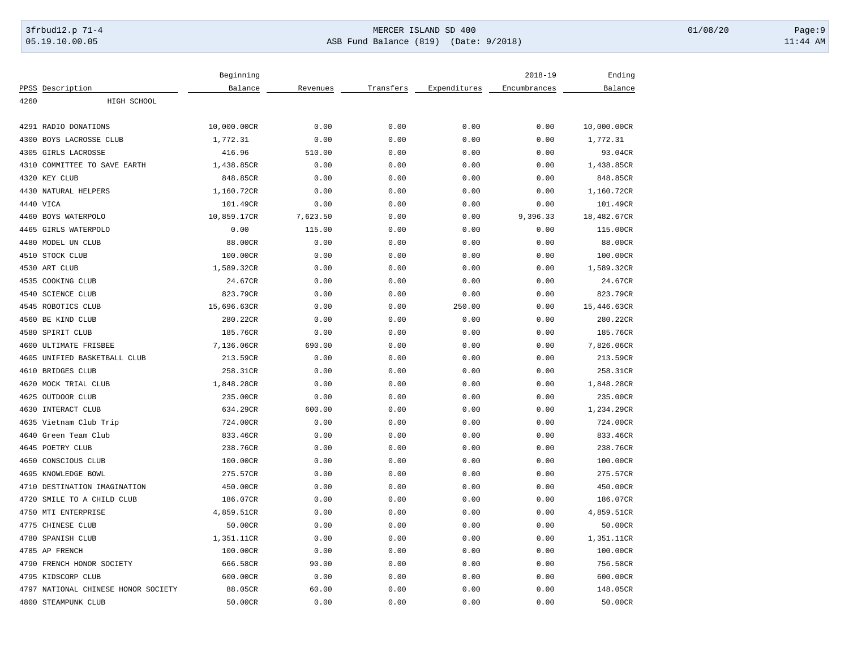## 3frbud12.p 71-4 **Details and the CER ISLAND SD 400** MERCER ISLAND SD 400 01/08/20 Page:9 05.19.10.00.05 ASB Fund Balance (819) (Date: 9/2018) 11:44 AM

|                                     | Beginning   |          |           |              | $2018 - 19$  | Ending      |
|-------------------------------------|-------------|----------|-----------|--------------|--------------|-------------|
| PPSS Description                    | Balance     | Revenues | Transfers | Expenditures | Encumbrances | Balance     |
| 4260<br>HIGH SCHOOL                 |             |          |           |              |              |             |
|                                     |             |          |           |              |              |             |
| 4291 RADIO DONATIONS                | 10,000.00CR | 0.00     | 0.00      | 0.00         | 0.00         | 10,000.00CR |
| BOYS LACROSSE CLUB<br>4300          | 1,772.31    | 0.00     | 0.00      | 0.00         | 0.00         | 1,772.31    |
| 4305<br><b>GIRLS LACROSSE</b>       | 416.96      | 510.00   | 0.00      | 0.00         | 0.00         | 93.04CR     |
| 4310 COMMITTEE TO SAVE EARTH        | 1,438.85CR  | 0.00     | 0.00      | 0.00         | 0.00         | 1,438.85CR  |
| 4320 KEY CLUB                       | 848.85CR    | 0.00     | 0.00      | 0.00         | 0.00         | 848.85CR    |
| 4430 NATURAL HELPERS                | 1,160.72CR  | 0.00     | 0.00      | 0.00         | 0.00         | 1,160.72CR  |
| 4440 VICA                           | 101.49CR    | 0.00     | 0.00      | 0.00         | 0.00         | 101.49CR    |
| 4460 BOYS WATERPOLO                 | 10,859.17CR | 7,623.50 | 0.00      | 0.00         | 9,396.33     | 18,482.67CR |
| 4465 GIRLS WATERPOLO                | 0.00        | 115.00   | 0.00      | 0.00         | 0.00         | 115.00CR    |
| 4480 MODEL UN CLUB                  | 88.00CR     | 0.00     | 0.00      | 0.00         | 0.00         | 88.00CR     |
| 4510 STOCK CLUB                     | 100.00CR    | 0.00     | 0.00      | 0.00         | 0.00         | 100.00CR    |
| 4530 ART CLUB                       | 1,589.32CR  | 0.00     | 0.00      | 0.00         | 0.00         | 1,589.32CR  |
| 4535 COOKING CLUB                   | 24.67CR     | 0.00     | 0.00      | 0.00         | 0.00         | 24.67CR     |
| 4540<br><b>SCIENCE CLUB</b>         | 823.79CR    | 0.00     | 0.00      | 0.00         | 0.00         | 823.79CR    |
| 4545 ROBOTICS CLUB                  | 15,696.63CR | 0.00     | 0.00      | 250.00       | 0.00         | 15,446.63CR |
| 4560 BE KIND CLUB                   | 280.22CR    | 0.00     | 0.00      | 0.00         | 0.00         | 280.22CR    |
| 4580 SPIRIT CLUB                    | 185.76CR    | 0.00     | 0.00      | 0.00         | 0.00         | 185.76CR    |
| 4600 ULTIMATE FRISBEE               | 7,136.06CR  | 690.00   | 0.00      | 0.00         | 0.00         | 7,826.06CR  |
| 4605 UNIFIED BASKETBALL CLUB        | 213.59CR    | 0.00     | 0.00      | 0.00         | 0.00         | 213.59CR    |
| 4610 BRIDGES CLUB                   | 258.31CR    | 0.00     | 0.00      | 0.00         | 0.00         | 258.31CR    |
| 4620<br>MOCK TRIAL CLUB             | 1,848.28CR  | 0.00     | 0.00      | 0.00         | 0.00         | 1,848.28CR  |
| 4625 OUTDOOR CLUB                   | 235.00CR    | 0.00     | 0.00      | 0.00         | 0.00         | 235.00CR    |
| 4630 INTERACT CLUB                  | 634.29CR    | 600.00   | 0.00      | 0.00         | 0.00         | 1,234.29CR  |
| 4635 Vietnam Club Trip              | 724.00CR    | 0.00     | 0.00      | 0.00         | 0.00         | 724.00CR    |
| 4640 Green Team Club                | 833.46CR    | 0.00     | 0.00      | 0.00         | 0.00         | 833.46CR    |
| 4645 POETRY CLUB                    | 238.76CR    | 0.00     | 0.00      | 0.00         | 0.00         | 238.76CR    |
| CONSCIOUS CLUB<br>4650              | 100.00CR    | 0.00     | 0.00      | 0.00         | 0.00         | 100.00CR    |
| 4695 KNOWLEDGE BOWL                 | 275.57CR    | 0.00     | 0.00      | 0.00         | 0.00         | 275.57CR    |
| DESTINATION IMAGINATION<br>4710     | 450.00CR    | 0.00     | 0.00      | 0.00         | 0.00         | 450.00CR    |
| 4720<br>SMILE TO A CHILD CLUB       | 186.07CR    | 0.00     | 0.00      |              |              | 186.07CR    |
|                                     |             |          |           | 0.00         | 0.00         |             |
| 4750 MTI ENTERPRISE                 | 4,859.51CR  | 0.00     | 0.00      | 0.00         | 0.00         | 4,859.51CR  |
| 4775 CHINESE CLUB                   | 50.00CR     | 0.00     | 0.00      | 0.00         | 0.00         | 50.00CR     |
| 4780 SPANISH CLUB                   | 1,351.11CR  | 0.00     | 0.00      | 0.00         | 0.00         | 1,351.11CR  |
| 4785 AP FRENCH                      | 100.00CR    | 0.00     | 0.00      | 0.00         | 0.00         | 100.00CR    |
| 4790 FRENCH HONOR SOCIETY           | 666.58CR    | 90.00    | 0.00      | 0.00         | 0.00         | 756.58CR    |
| 4795 KIDSCORP CLUB                  | 600.00CR    | 0.00     | 0.00      | 0.00         | 0.00         | 600.00CR    |
| 4797 NATIONAL CHINESE HONOR SOCIETY | 88.05CR     | 60.00    | 0.00      | 0.00         | 0.00         | 148.05CR    |
| 4800 STEAMPUNK CLUB                 | 50.00CR     | 0.00     | 0.00      | 0.00         | 0.00         | 50.00CR     |